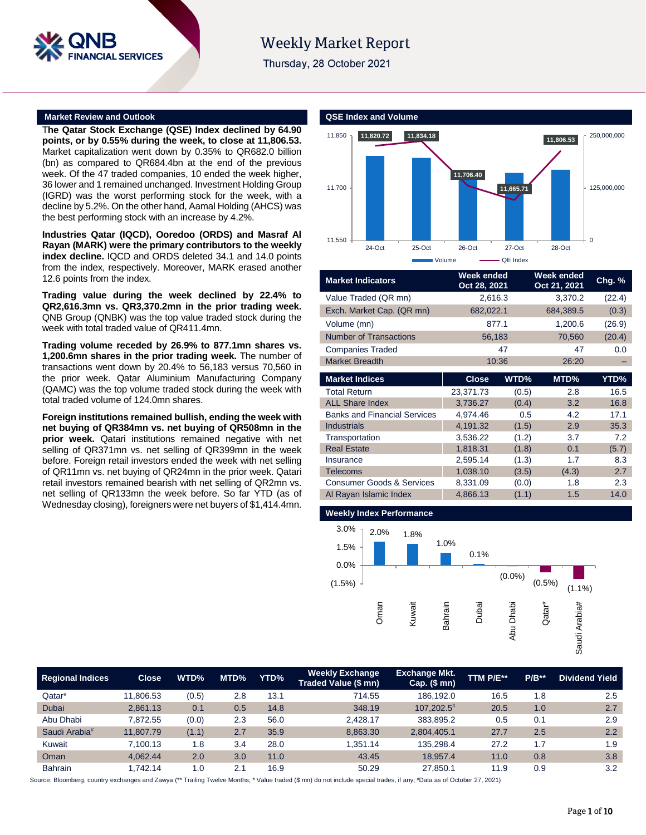

# **Weekly Market Report**

Thursday, 28 October 2021

### **Market Review and Outlook QSE Index and Volume**

T**he Qatar Stock Exchange (QSE) Index declined by 64.90 points, or by 0.55% during the week, to close at 11,806.53.** Market capitalization went down by 0.35% to QR682.0 billion (bn) as compared to QR684.4bn at the end of the previous week. Of the 47 traded companies, 10 ended the week higher, 36 lower and 1 remained unchanged. Investment Holding Group (IGRD) was the worst performing stock for the week, with a decline by 5.2%. On the other hand, Aamal Holding (AHCS) was the best performing stock with an increase by 4.2%.

**Industries Qatar (IQCD), Ooredoo (ORDS) and Masraf Al Rayan (MARK) were the primary contributors to the weekly index decline.** IQCD and ORDS deleted 34.1 and 14.0 points from the index, respectively. Moreover, MARK erased another 12.6 points from the index.

**Trading value during the week declined by 22.4% to QR2,616.3mn vs. QR3,370.2mn in the prior trading week.** QNB Group (QNBK) was the top value traded stock during the week with total traded value of QR411.4mn.

**Trading volume receded by 26.9% to 877.1mn shares vs. 1,200.6mn shares in the prior trading week.** The number of transactions went down by 20.4% to 56,183 versus 70,560 in the prior week. Qatar Aluminium Manufacturing Company (QAMC) was the top volume traded stock during the week with total traded volume of 124.0mn shares.

**Foreign institutions remained bullish, ending the week with net buying of QR384mn vs. net buying of QR508mn in the prior week.** Qatari institutions remained negative with net selling of QR371mn vs. net selling of QR399mn in the week before. Foreign retail investors ended the week with net selling of QR11mn vs. net buying of QR24mn in the prior week. Qatari retail investors remained bearish with net selling of QR2mn vs. net selling of QR133mn the week before. So far YTD (as of Wednesday closing), foreigners were net buyers of \$1,414.4mn.



| <b>Market Indicators</b>             | Week ended<br>Oct 28, 2021 |       | Week ended<br>Oct 21, 2021 | Chg. % |  |
|--------------------------------------|----------------------------|-------|----------------------------|--------|--|
| Value Traded (QR mn)                 | 2,616.3                    |       | 3,370.2                    | (22.4) |  |
| Exch. Market Cap. (QR mn)            | 682,022.1                  |       | 684,389.5                  | (0.3)  |  |
| Volume (mn)                          | 877.1                      |       | 1,200.6                    | (26.9) |  |
| <b>Number of Transactions</b>        | 56,183                     |       | 70,560                     | (20.4) |  |
| <b>Companies Traded</b>              | 47                         |       | 47                         | 0.0    |  |
| <b>Market Breadth</b>                |                            | 10:36 | 26:20                      |        |  |
| <b>Market Indices</b>                | <b>Close</b>               | WTD%  | MTD%                       | YTD%   |  |
| <b>Total Return</b>                  | 23,371.73                  | (0.5) | 2.8                        | 16.5   |  |
| <b>ALL Share Index</b>               | 3,736.27<br>(0.4)          |       | 3.2                        | 16.8   |  |
| <b>Banks and Financial Services</b>  | 4,974.46<br>0.5            |       | 4.2                        | 17.1   |  |
| <b>Industrials</b>                   | 4,191.32<br>(1.5)          |       | 2.9                        | 35.3   |  |
| Transportation                       | 3,536.22                   | (1.2) | 3.7                        | 7.2    |  |
| <b>Real Estate</b>                   | 1,818.31                   | (1.8) | 0.1                        | (5.7)  |  |
| Insurance                            | 2,595.14                   | (1.3) | 1.7                        | 8.3    |  |
| <b>Telecoms</b>                      | 1,038.10                   | (3.5) | (4.3)                      | 2.7    |  |
| <b>Consumer Goods &amp; Services</b> | 8,331.09                   | (0.0) | 1.8                        | 2.3    |  |
| Al Rayan Islamic Index               | 4,866.13                   | (1.1) | 1.5                        | 14.0   |  |
|                                      |                            |       |                            |        |  |

### **Weekly Index Performance**



| <b>Regional Indices</b>   | <b>Close</b> | WTD%  | MTD% | YTD% | <b>Weekly Exchange</b><br>Traded Value (\$ mn) | <b>Exchange Mkt.</b><br>$Cap.$ (\$ mn) | TTM P/E** | $P/B**$ | <b>Dividend Yield</b> |
|---------------------------|--------------|-------|------|------|------------------------------------------------|----------------------------------------|-----------|---------|-----------------------|
| Qatar*                    | 11.806.53    | (0.5) | 2.8  | 13.1 | 714.55                                         | 186.192.0                              | 16.5      | 1.8     | 2.5                   |
| Dubai                     | 2,861.13     | 0.1   | 0.5  | 14.8 | 348.19                                         | 107.202.5 <sup>#</sup>                 | 20.5      | 1.0     | 2.7                   |
| Abu Dhabi                 | 7.872.55     | (0.0) | 2.3  | 56.0 | 2.428.17                                       | 383,895.2                              | 0.5       | 0.1     | 2.9                   |
| Saudi Arabia <sup>#</sup> | 11.807.79    | (1.1) | 2.7  | 35.9 | 8.863.30                                       | 2,804,405.1                            | 27.7      | 2.5     | 2.2                   |
| Kuwait                    | 7.100.13     | 1.8   | 3.4  | 28.0 | 1.351.14                                       | 135,298.4                              | 27.2      | 1.7     | 1.9                   |
| Oman                      | 4.062.44     | 2.0   | 3.0  | 11.0 | 43.45                                          | 18,957.4                               | 11.0      | 0.8     | 3.8                   |
| <b>Bahrain</b>            | 1.742.14     | 1.0   | 2.1  | 16.9 | 50.29                                          | 27,850.1                               | 11.9      | 0.9     | 3.2                   |

Source: Bloomberg, country exchanges and Zawya (\*\* Trailing Twelve Months; \* Value traded (\$ mn) do not include special trades, if any; #Data as of October 27, 2021)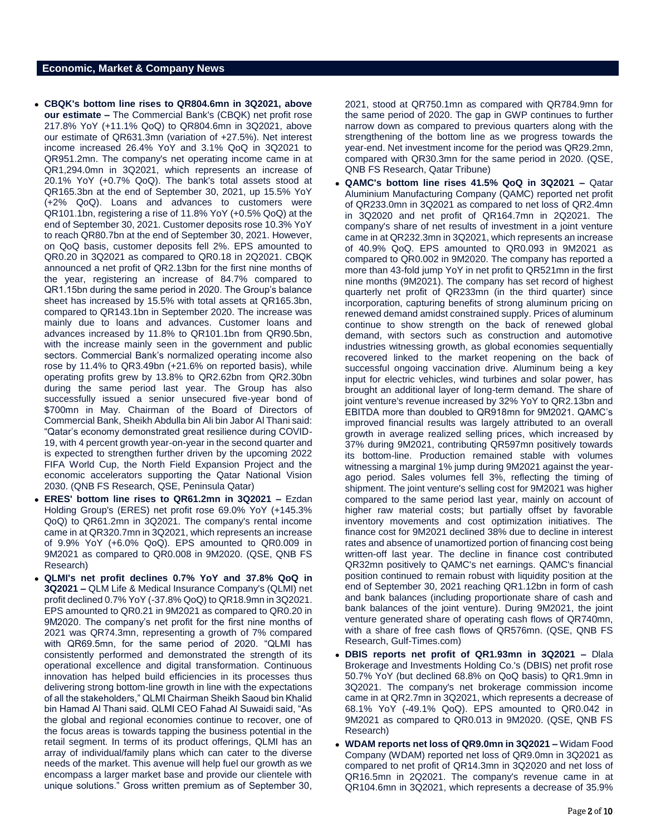## **Economic, Market & Company News**

- **CBQK's bottom line rises to QR804.6mn in 3Q2021, above our estimate –** The Commercial Bank's (CBQK) net profit rose 217.8% YoY (+11.1% QoQ) to QR804.6mn in 3Q2021, above our estimate of QR631.3mn (variation of +27.5%). Net interest income increased 26.4% YoY and 3.1% QoQ in 3Q2021 to QR951.2mn. The company's net operating income came in at QR1,294.0mn in 3Q2021, which represents an increase of 20.1% YoY (+0.7% QoQ). The bank's total assets stood at QR165.3bn at the end of September 30, 2021, up 15.5% YoY (+2% QoQ). Loans and advances to customers were QR101.1bn, registering a rise of 11.8% YoY (+0.5% QoQ) at the end of September 30, 2021. Customer deposits rose 10.3% YoY to reach QR80.7bn at the end of September 30, 2021. However, on QoQ basis, customer deposits fell 2%. EPS amounted to QR0.20 in 3Q2021 as compared to QR0.18 in 2Q2021. CBQK announced a net profit of QR2.13bn for the first nine months of the year, registering an increase of 84.7% compared to QR1.15bn during the same period in 2020. The Group's balance sheet has increased by 15.5% with total assets at QR165.3bn, compared to QR143.1bn in September 2020. The increase was mainly due to loans and advances. Customer loans and advances increased by 11.8% to QR101.1bn from QR90.5bn, with the increase mainly seen in the government and public sectors. Commercial Bank's normalized operating income also rose by 11.4% to QR3.49bn (+21.6% on reported basis), while operating profits grew by 13.8% to QR2.62bn from QR2.30bn during the same period last year. The Group has also successfully issued a senior unsecured five-year bond of \$700mn in May. Chairman of the Board of Directors of Commercial Bank, Sheikh Abdulla bin Ali bin Jabor Al Thani said: "Qatar's economy demonstrated great resilience during COVID-19, with 4 percent growth year-on-year in the second quarter and is expected to strengthen further driven by the upcoming 2022 FIFA World Cup, the North Field Expansion Project and the economic accelerators supporting the Qatar National Vision 2030. (QNB FS Research, QSE, Peninsula Qatar)
- **ERES' bottom line rises to QR61.2mn in 3Q2021 –** Ezdan Holding Group's (ERES) net profit rose 69.0% YoY (+145.3% QoQ) to QR61.2mn in 3Q2021. The company's rental income came in at QR320.7mn in 3Q2021, which represents an increase of 9.9% YoY (+6.0% QoQ). EPS amounted to QR0.009 in 9M2021 as compared to QR0.008 in 9M2020. (QSE, QNB FS Research)
- **QLMI's net profit declines 0.7% YoY and 37.8% QoQ in 3Q2021 –** QLM Life & Medical Insurance Company's (QLMI) net profit declined 0.7% YoY (-37.8% QoQ) to QR18.9mn in 3Q2021. EPS amounted to QR0.21 in 9M2021 as compared to QR0.20 in 9M2020. The company's net profit for the first nine months of 2021 was QR74.3mn, representing a growth of 7% compared with QR69.5mn, for the same period of 2020. "QLMI has consistently performed and demonstrated the strength of its operational excellence and digital transformation. Continuous innovation has helped build efficiencies in its processes thus delivering strong bottom-line growth in line with the expectations of all the stakeholders," QLMI Chairman Sheikh Saoud bin Khalid bin Hamad Al Thani said. QLMI CEO Fahad Al Suwaidi said, "As the global and regional economies continue to recover, one of the focus areas is towards tapping the business potential in the retail segment. In terms of its product offerings, QLMI has an array of individual/family plans which can cater to the diverse needs of the market. This avenue will help fuel our growth as we encompass a larger market base and provide our clientele with unique solutions." Gross written premium as of September 30,

2021, stood at QR750.1mn as compared with QR784.9mn for the same period of 2020. The gap in GWP continues to further narrow down as compared to previous quarters along with the strengthening of the bottom line as we progress towards the year-end. Net investment income for the period was QR29.2mn, compared with QR30.3mn for the same period in 2020. (QSE, QNB FS Research, Qatar Tribune)

- **QAMC's bottom line rises 41.5% QoQ in 3Q2021 –** Qatar Aluminium Manufacturing Company (QAMC) reported net profit of QR233.0mn in 3Q2021 as compared to net loss of QR2.4mn in 3Q2020 and net profit of QR164.7mn in 2Q2021. The company's share of net results of investment in a joint venture came in at QR232.3mn in 3Q2021, which represents an increase of 40.9% QoQ. EPS amounted to QR0.093 in 9M2021 as compared to QR0.002 in 9M2020. The company has reported a more than 43-fold jump YoY in net profit to QR521mn in the first nine months (9M2021). The company has set record of highest quarterly net profit of QR233mn (in the third quarter) since incorporation, capturing benefits of strong aluminum pricing on renewed demand amidst constrained supply. Prices of aluminum continue to show strength on the back of renewed global demand, with sectors such as construction and automotive industries witnessing growth, as global economies sequentially recovered linked to the market reopening on the back of successful ongoing vaccination drive. Aluminum being a key input for electric vehicles, wind turbines and solar power, has brought an additional layer of long-term demand. The share of joint venture's revenue increased by 32% YoY to QR2.13bn and EBITDA more than doubled to QR918mn for 9M2021. QAMC's improved financial results was largely attributed to an overall growth in average realized selling prices, which increased by 37% during 9M2021, contributing QR597mn positively towards its bottom-line. Production remained stable with volumes witnessing a marginal 1% jump during 9M2021 against the yearago period. Sales volumes fell 3%, reflecting the timing of shipment. The joint venture's selling cost for 9M2021 was higher compared to the same period last year, mainly on account of higher raw material costs; but partially offset by favorable inventory movements and cost optimization initiatives. The finance cost for 9M2021 declined 38% due to decline in interest rates and absence of unamortized portion of financing cost being written-off last year. The decline in finance cost contributed QR32mn positively to QAMC's net earnings. QAMC's financial position continued to remain robust with liquidity position at the end of September 30, 2021 reaching QR1.12bn in form of cash and bank balances (including proportionate share of cash and bank balances of the joint venture). During 9M2021, the joint venture generated share of operating cash flows of QR740mn, with a share of free cash flows of QR576mn. (QSE, QNB FS Research, Gulf-Times.com)
- **DBIS reports net profit of QR1.93mn in 3Q2021 –** Dlala Brokerage and Investments Holding Co.'s (DBIS) net profit rose 50.7% YoY (but declined 68.8% on QoQ basis) to QR1.9mn in 3Q2021. The company's net brokerage commission income came in at QR2.7mn in 3Q2021, which represents a decrease of 68.1% YoY (-49.1% QoQ). EPS amounted to QR0.042 in 9M2021 as compared to QR0.013 in 9M2020. (QSE, QNB FS Research)
- **WDAM reports net loss of QR9.0mn in 3Q2021 –** Widam Food Company (WDAM) reported net loss of QR9.0mn in 3Q2021 as compared to net profit of QR14.3mn in 3Q2020 and net loss of QR16.5mn in 2Q2021. The company's revenue came in at QR104.6mn in 3Q2021, which represents a decrease of 35.9%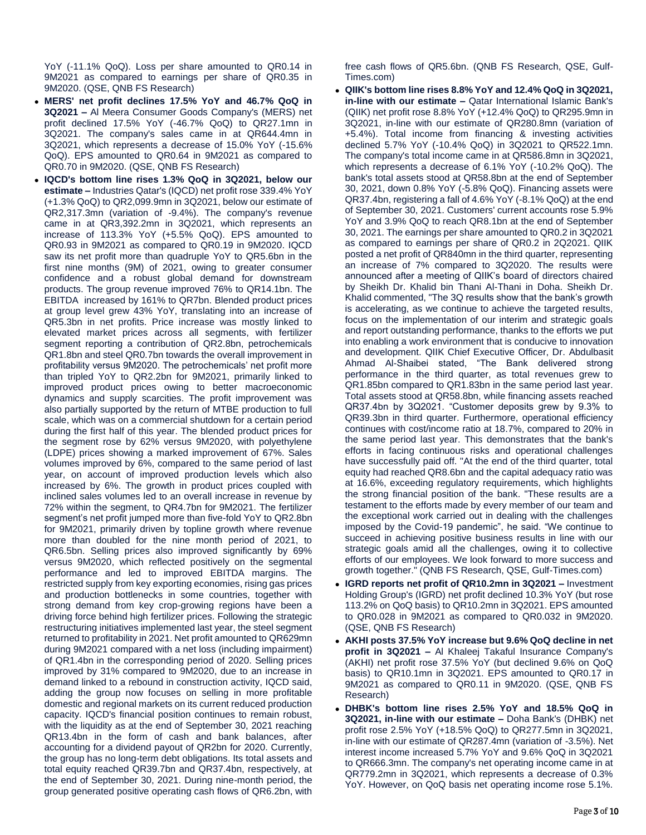YoY (-11.1% QoQ). Loss per share amounted to QR0.14 in 9M2021 as compared to earnings per share of QR0.35 in 9M2020. (QSE, QNB FS Research)

- **MERS' net profit declines 17.5% YoY and 46.7% QoQ in 3Q2021 –** Al Meera Consumer Goods Company's (MERS) net profit declined 17.5% YoY (-46.7% QoQ) to QR27.1mn in 3Q2021. The company's sales came in at QR644.4mn in 3Q2021, which represents a decrease of 15.0% YoY (-15.6% QoQ). EPS amounted to QR0.64 in 9M2021 as compared to QR0.70 in 9M2020. (QSE, QNB FS Research)
- **IQCD's bottom line rises 1.3% QoQ in 3Q2021, below our estimate –** Industries Qatar's (IQCD) net profit rose 339.4% YoY (+1.3% QoQ) to QR2,099.9mn in 3Q2021, below our estimate of QR2,317.3mn (variation of -9.4%). The company's revenue came in at QR3,392.2mn in 3Q2021, which represents an increase of 113.3% YoY (+5.5% QoQ). EPS amounted to QR0.93 in 9M2021 as compared to QR0.19 in 9M2020. IQCD saw its net profit more than quadruple YoY to QR5.6bn in the first nine months (9M) of 2021, owing to greater consumer confidence and a robust global demand for downstream products. The group revenue improved 76% to QR14.1bn. The EBITDA increased by 161% to QR7bn. Blended product prices at group level grew 43% YoY, translating into an increase of QR5.3bn in net profits. Price increase was mostly linked to elevated market prices across all segments, with fertilizer segment reporting a contribution of QR2.8bn, petrochemicals QR1.8bn and steel QR0.7bn towards the overall improvement in profitability versus 9M2020. The petrochemicals' net profit more than tripled YoY to QR2.2bn for 9M2021, primarily linked to improved product prices owing to better macroeconomic dynamics and supply scarcities. The profit improvement was also partially supported by the return of MTBE production to full scale, which was on a commercial shutdown for a certain period during the first half of this year. The blended product prices for the segment rose by 62% versus 9M2020, with polyethylene (LDPE) prices showing a marked improvement of 67%. Sales volumes improved by 6%, compared to the same period of last year, on account of improved production levels which also increased by 6%. The growth in product prices coupled with inclined sales volumes led to an overall increase in revenue by 72% within the segment, to QR4.7bn for 9M2021. The fertilizer segment's net profit jumped more than five-fold YoY to QR2.8bn for 9M2021, primarily driven by topline growth where revenue more than doubled for the nine month period of 2021, to QR6.5bn. Selling prices also improved significantly by 69% versus 9M2020, which reflected positively on the segmental performance and led to improved EBITDA margins. The restricted supply from key exporting economies, rising gas prices and production bottlenecks in some countries, together with strong demand from key crop-growing regions have been a driving force behind high fertilizer prices. Following the strategic restructuring initiatives implemented last year, the steel segment returned to profitability in 2021. Net profit amounted to QR629mn during 9M2021 compared with a net loss (including impairment) of QR1.4bn in the corresponding period of 2020. Selling prices improved by 31% compared to 9M2020, due to an increase in demand linked to a rebound in construction activity, IQCD said, adding the group now focuses on selling in more profitable domestic and regional markets on its current reduced production capacity. IQCD's financial position continues to remain robust, with the liquidity as at the end of September 30, 2021 reaching QR13.4bn in the form of cash and bank balances, after accounting for a dividend payout of QR2bn for 2020. Currently, the group has no long-term debt obligations. Its total assets and total equity reached QR39.7bn and QR37.4bn, respectively, at the end of September 30, 2021. During nine-month period, the group generated positive operating cash flows of QR6.2bn, with

free cash flows of QR5.6bn. (QNB FS Research, QSE, Gulf-Times.com)

- **QIIK's bottom line rises 8.8% YoY and 12.4% QoQ in 3Q2021, in-line with our estimate –** Qatar International Islamic Bank's (QIIK) net profit rose 8.8% YoY (+12.4% QoQ) to QR295.9mn in 3Q2021, in-line with our estimate of QR280.8mn (variation of +5.4%). Total income from financing & investing activities declined 5.7% YoY (-10.4% QoQ) in 3Q2021 to QR522.1mn. The company's total income came in at QR586.8mn in 3Q2021, which represents a decrease of 6.1% YoY (-10.2% QoQ). The bank's total assets stood at QR58.8bn at the end of September 30, 2021, down 0.8% YoY (-5.8% QoQ). Financing assets were QR37.4bn, registering a fall of 4.6% YoY (-8.1% QoQ) at the end of September 30, 2021. Customers' current accounts rose 5.9% YoY and 3.9% QoQ to reach QR8.1bn at the end of September 30, 2021. The earnings per share amounted to QR0.2 in 3Q2021 as compared to earnings per share of QR0.2 in 2Q2021. QIIK posted a net profit of QR840mn in the third quarter, representing an increase of 7% compared to 3Q2020. The results were announced after a meeting of QIIK's board of directors chaired by Sheikh Dr. Khalid bin Thani Al-Thani in Doha. Sheikh Dr. Khalid commented, "The 3Q results show that the bank's growth is accelerating, as we continue to achieve the targeted results, focus on the implementation of our interim and strategic goals and report outstanding performance, thanks to the efforts we put into enabling a work environment that is conducive to innovation and development. QIIK Chief Executive Officer, Dr. Abdulbasit Ahmad Al-Shaibei stated, "The Bank delivered strong performance in the third quarter, as total revenues grew to QR1.85bn compared to QR1.83bn in the same period last year. Total assets stood at QR58.8bn, while financing assets reached QR37.4bn by 3Q2021. "Customer deposits grew by 9.3% to QR39.3bn in third quarter. Furthermore, operational efficiency continues with cost/income ratio at 18.7%, compared to 20% in the same period last year. This demonstrates that the bank's efforts in facing continuous risks and operational challenges have successfully paid off. "At the end of the third quarter, total equity had reached QR8.6bn and the capital adequacy ratio was at 16.6%, exceeding regulatory requirements, which highlights the strong financial position of the bank. "These results are a testament to the efforts made by every member of our team and the exceptional work carried out in dealing with the challenges imposed by the Covid-19 pandemic", he said. "We continue to succeed in achieving positive business results in line with our strategic goals amid all the challenges, owing it to collective efforts of our employees. We look forward to more success and growth together." (QNB FS Research, QSE, Gulf-Times.com)
- **IGRD reports net profit of QR10.2mn in 3Q2021 –** Investment Holding Group's (IGRD) net profit declined 10.3% YoY (but rose 113.2% on QoQ basis) to QR10.2mn in 3Q2021. EPS amounted to QR0.028 in 9M2021 as compared to QR0.032 in 9M2020. (QSE, QNB FS Research)
- **AKHI posts 37.5% YoY increase but 9.6% QoQ decline in net profit in 3Q2021 –** Al Khaleej Takaful Insurance Company's (AKHI) net profit rose 37.5% YoY (but declined 9.6% on QoQ basis) to QR10.1mn in 3Q2021. EPS amounted to QR0.17 in 9M2021 as compared to QR0.11 in 9M2020. (QSE, QNB FS Research)
- **DHBK's bottom line rises 2.5% YoY and 18.5% QoQ in 3Q2021, in-line with our estimate –** Doha Bank's (DHBK) net profit rose 2.5% YoY (+18.5% QoQ) to QR277.5mn in 3Q2021, in-line with our estimate of QR287.4mn (variation of -3.5%). Net interest income increased 5.7% YoY and 9.6% QoQ in 3Q2021 to QR666.3mn. The company's net operating income came in at QR779.2mn in 3Q2021, which represents a decrease of 0.3% YoY. However, on QoQ basis net operating income rose 5.1%.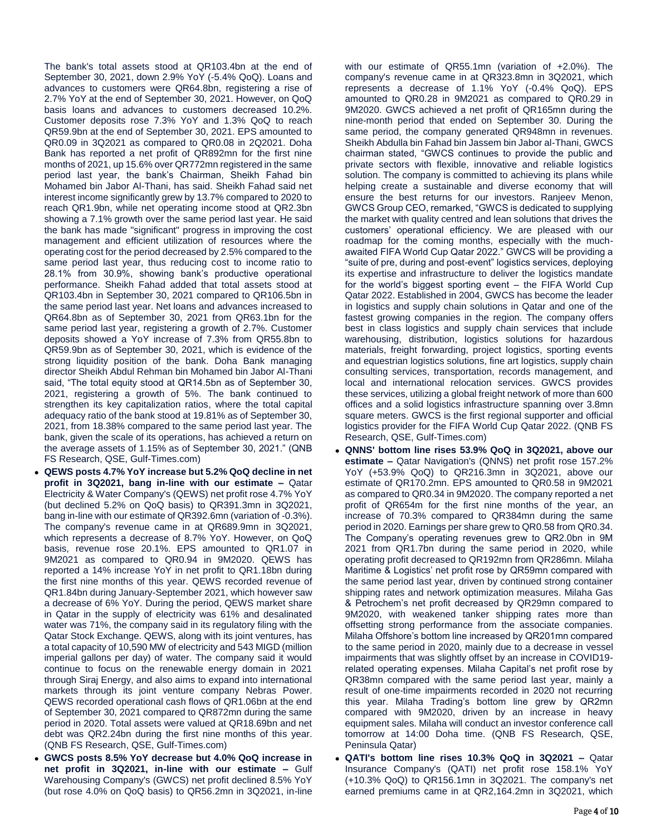The bank's total assets stood at QR103.4bn at the end of September 30, 2021, down 2.9% YoY (-5.4% QoQ). Loans and advances to customers were QR64.8bn, registering a rise of 2.7% YoY at the end of September 30, 2021. However, on QoQ basis loans and advances to customers decreased 10.2%. Customer deposits rose 7.3% YoY and 1.3% QoQ to reach QR59.9bn at the end of September 30, 2021. EPS amounted to QR0.09 in 3Q2021 as compared to QR0.08 in 2Q2021. Doha Bank has reported a net profit of QR892mn for the first nine months of 2021, up 15.6% over QR772mn registered in the same period last year, the bank's Chairman, Sheikh Fahad bin Mohamed bin Jabor Al-Thani, has said. Sheikh Fahad said net interest income significantly grew by 13.7% compared to 2020 to reach QR1.9bn, while net operating income stood at QR2.3bn showing a 7.1% growth over the same period last year. He said the bank has made "significant" progress in improving the cost management and efficient utilization of resources where the operating cost for the period decreased by 2.5% compared to the same period last year, thus reducing cost to income ratio to 28.1% from 30.9%, showing bank's productive operational performance. Sheikh Fahad added that total assets stood at QR103.4bn in September 30, 2021 compared to QR106.5bn in the same period last year. Net loans and advances increased to QR64.8bn as of September 30, 2021 from QR63.1bn for the same period last year, registering a growth of 2.7%. Customer deposits showed a YoY increase of 7.3% from QR55.8bn to QR59.9bn as of September 30, 2021, which is evidence of the strong liquidity position of the bank. Doha Bank managing director Sheikh Abdul Rehman bin Mohamed bin Jabor Al-Thani said, "The total equity stood at QR14.5bn as of September 30, 2021, registering a growth of 5%. The bank continued to strengthen its key capitalization ratios, where the total capital adequacy ratio of the bank stood at 19.81% as of September 30, 2021, from 18.38% compared to the same period last year. The bank, given the scale of its operations, has achieved a return on the average assets of 1.15% as of September 30, 2021." (QNB FS Research, QSE, Gulf-Times.com)

- **QEWS posts 4.7% YoY increase but 5.2% QoQ decline in net profit in 3Q2021, bang in-line with our estimate –** Qatar Electricity & Water Company's (QEWS) net profit rose 4.7% YoY (but declined 5.2% on QoQ basis) to QR391.3mn in 3Q2021, bang in-line with our estimate of QR392.6mn (variation of -0.3%). The company's revenue came in at QR689.9mn in 3Q2021, which represents a decrease of 8.7% YoY. However, on QoQ basis, revenue rose 20.1%. EPS amounted to QR1.07 in 9M2021 as compared to QR0.94 in 9M2020. QEWS has reported a 14% increase YoY in net profit to QR1.18bn during the first nine months of this year. QEWS recorded revenue of QR1.84bn during January-September 2021, which however saw a decrease of 6% YoY. During the period, QEWS market share in Qatar in the supply of electricity was 61% and desalinated water was 71%, the company said in its regulatory filing with the Qatar Stock Exchange. QEWS, along with its joint ventures, has a total capacity of 10,590 MW of electricity and 543 MIGD (million imperial gallons per day) of water. The company said it would continue to focus on the renewable energy domain in 2021 through Siraj Energy, and also aims to expand into international markets through its joint venture company Nebras Power. QEWS recorded operational cash flows of QR1.06bn at the end of September 30, 2021 compared to QR872mn during the same period in 2020. Total assets were valued at QR18.69bn and net debt was QR2.24bn during the first nine months of this year. (QNB FS Research, QSE, Gulf-Times.com)
- **GWCS posts 8.5% YoY decrease but 4.0% QoQ increase in net profit in 3Q2021, in-line with our estimate –** Gulf Warehousing Company's (GWCS) net profit declined 8.5% YoY (but rose 4.0% on QoQ basis) to QR56.2mn in 3Q2021, in-line

with our estimate of QR55.1mn (variation of +2.0%). The company's revenue came in at QR323.8mn in 3Q2021, which represents a decrease of 1.1% YoY (-0.4% QoQ). EPS amounted to QR0.28 in 9M2021 as compared to QR0.29 in 9M2020. GWCS achieved a net profit of QR165mn during the nine-month period that ended on September 30. During the same period, the company generated QR948mn in revenues. Sheikh Abdulla bin Fahad bin Jassem bin Jabor al-Thani, GWCS chairman stated, "GWCS continues to provide the public and private sectors with flexible, innovative and reliable logistics solution. The company is committed to achieving its plans while helping create a sustainable and diverse economy that will ensure the best returns for our investors. Ranjeev Menon, GWCS Group CEO, remarked, "GWCS is dedicated to supplying the market with quality centred and lean solutions that drives the customers' operational efficiency. We are pleased with our roadmap for the coming months, especially with the muchawaited FIFA World Cup Qatar 2022." GWCS will be providing a "suite of pre, during and post-event" logistics services, deploying its expertise and infrastructure to deliver the logistics mandate for the world's biggest sporting event – the FIFA World Cup Qatar 2022. Established in 2004, GWCS has become the leader in logistics and supply chain solutions in Qatar and one of the fastest growing companies in the region. The company offers best in class logistics and supply chain services that include warehousing, distribution, logistics solutions for hazardous materials, freight forwarding, project logistics, sporting events and equestrian logistics solutions, fine art logistics, supply chain consulting services, transportation, records management, and local and international relocation services. GWCS provides these services, utilizing a global freight network of more than 600 offices and a solid logistics infrastructure spanning over 3.8mn square meters. GWCS is the first regional supporter and official logistics provider for the FIFA World Cup Qatar 2022. (QNB FS Research, QSE, Gulf-Times.com)

- **QNNS' bottom line rises 53.9% QoQ in 3Q2021, above our estimate –** Qatar Navigation's (QNNS) net profit rose 157.2% YoY (+53.9% QoQ) to QR216.3mn in 3Q2021, above our estimate of QR170.2mn. EPS amounted to QR0.58 in 9M2021 as compared to QR0.34 in 9M2020. The company reported a net profit of QR654m for the first nine months of the year, an increase of 70.3% compared to QR384mn during the same period in 2020. Earnings per share grew to QR0.58 from QR0.34. The Company's operating revenues grew to QR2.0bn in 9M 2021 from QR1.7bn during the same period in 2020, while operating profit decreased to QR192mn from QR286mn. Milaha Maritime & Logistics' net profit rose by QR59mn compared with the same period last year, driven by continued strong container shipping rates and network optimization measures. Milaha Gas & Petrochem's net profit decreased by QR29mn compared to 9M2020, with weakened tanker shipping rates more than offsetting strong performance from the associate companies. Milaha Offshore's bottom line increased by QR201mn compared to the same period in 2020, mainly due to a decrease in vessel impairments that was slightly offset by an increase in COVID19 related operating expenses. Milaha Capital's net profit rose by QR38mn compared with the same period last year, mainly a result of one-time impairments recorded in 2020 not recurring this year. Milaha Trading's bottom line grew by QR2mn compared with 9M2020, driven by an increase in heavy equipment sales. Milaha will conduct an investor conference call tomorrow at 14:00 Doha time. (QNB FS Research, QSE, Peninsula Qatar)
- **QATI's bottom line rises 10.3% QoQ in 3Q2021 –** Qatar Insurance Company's (QATI) net profit rose 158.1% YoY (+10.3% QoQ) to QR156.1mn in 3Q2021. The company's net earned premiums came in at QR2,164.2mn in 3Q2021, which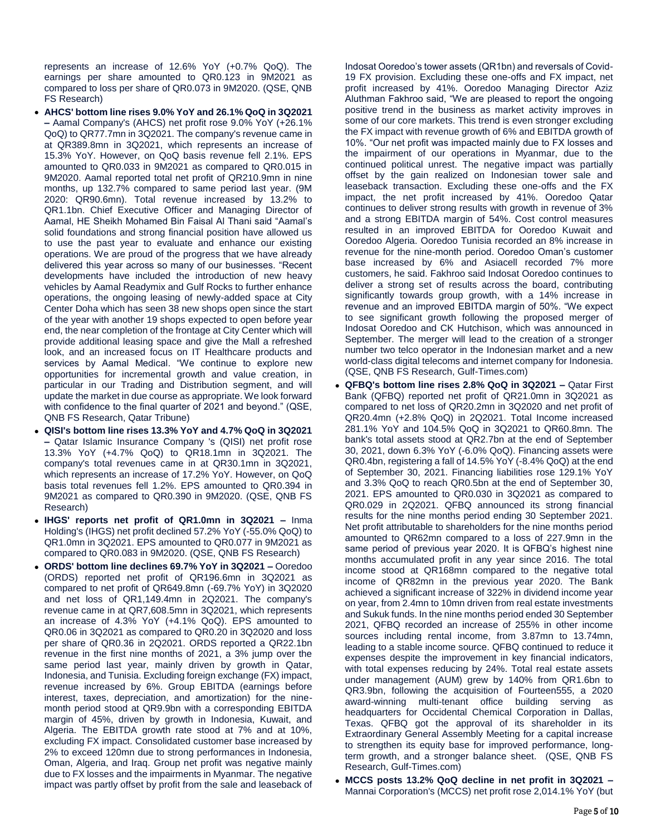represents an increase of 12.6% YoY (+0.7% QoQ). The earnings per share amounted to QR0.123 in 9M2021 as compared to loss per share of QR0.073 in 9M2020. (QSE, QNB FS Research)

- **AHCS' bottom line rises 9.0% YoY and 26.1% QoQ in 3Q2021 –** Aamal Company's (AHCS) net profit rose 9.0% YoY (+26.1% QoQ) to QR77.7mn in 3Q2021. The company's revenue came in at QR389.8mn in 3Q2021, which represents an increase of 15.3% YoY. However, on QoQ basis revenue fell 2.1%. EPS amounted to QR0.033 in 9M2021 as compared to QR0.015 in 9M2020. Aamal reported total net profit of QR210.9mn in nine months, up 132.7% compared to same period last year. (9M 2020: QR90.6mn). Total revenue increased by 13.2% to QR1.1bn. Chief Executive Officer and Managing Director of Aamal, HE Sheikh Mohamed Bin Faisal Al Thani said "Aamal's solid foundations and strong financial position have allowed us to use the past year to evaluate and enhance our existing operations. We are proud of the progress that we have already delivered this year across so many of our businesses. "Recent developments have included the introduction of new heavy vehicles by Aamal Readymix and Gulf Rocks to further enhance operations, the ongoing leasing of newly-added space at City Center Doha which has seen 38 new shops open since the start of the year with another 19 shops expected to open before year end, the near completion of the frontage at City Center which will provide additional leasing space and give the Mall a refreshed look, and an increased focus on IT Healthcare products and services by Aamal Medical. "We continue to explore new opportunities for incremental growth and value creation, in particular in our Trading and Distribution segment, and will update the market in due course as appropriate. We look forward with confidence to the final quarter of 2021 and beyond." (QSE, QNB FS Research, Qatar Tribune)
- **QISI's bottom line rises 13.3% YoY and 4.7% QoQ in 3Q2021 –** Qatar Islamic Insurance Company 's (QISI) net profit rose 13.3% YoY (+4.7% QoQ) to QR18.1mn in 3Q2021. The company's total revenues came in at QR30.1mn in 3Q2021, which represents an increase of 17.2% YoY. However, on QoQ basis total revenues fell 1.2%. EPS amounted to QR0.394 in 9M2021 as compared to QR0.390 in 9M2020. (QSE, QNB FS Research)
- **IHGS' reports net profit of QR1.0mn in 3Q2021 –** Inma Holding's (IHGS) net profit declined 57.2% YoY (-55.0% QoQ) to QR1.0mn in 3Q2021. EPS amounted to QR0.077 in 9M2021 as compared to QR0.083 in 9M2020. (QSE, QNB FS Research)
- **ORDS' bottom line declines 69.7% YoY in 3Q2021 –** Ooredoo (ORDS) reported net profit of QR196.6mn in 3Q2021 as compared to net profit of QR649.8mn (-69.7% YoY) in 3Q2020 and net loss of QR1,149.4mn in 2Q2021. The company's revenue came in at QR7,608.5mn in 3Q2021, which represents an increase of 4.3% YoY (+4.1% QoQ). EPS amounted to QR0.06 in 3Q2021 as compared to QR0.20 in 3Q2020 and loss per share of QR0.36 in 2Q2021. ORDS reported a QR22.1bn revenue in the first nine months of 2021, a 3% jump over the same period last year, mainly driven by growth in Qatar, Indonesia, and Tunisia. Excluding foreign exchange (FX) impact, revenue increased by 6%. Group EBITDA (earnings before interest, taxes, depreciation, and amortization) for the ninemonth period stood at QR9.9bn with a corresponding EBITDA margin of 45%, driven by growth in Indonesia, Kuwait, and Algeria. The EBITDA growth rate stood at 7% and at 10%, excluding FX impact. Consolidated customer base increased by 2% to exceed 120mn due to strong performances in Indonesia, Oman, Algeria, and Iraq. Group net profit was negative mainly due to FX losses and the impairments in Myanmar. The negative impact was partly offset by profit from the sale and leaseback of

Indosat Ooredoo's tower assets (QR1bn) and reversals of Covid-19 FX provision. Excluding these one-offs and FX impact, net profit increased by 41%. Ooredoo Managing Director Aziz Aluthman Fakhroo said, "We are pleased to report the ongoing positive trend in the business as market activity improves in some of our core markets. This trend is even stronger excluding the FX impact with revenue growth of 6% and EBITDA growth of 10%. "Our net profit was impacted mainly due to FX losses and the impairment of our operations in Myanmar, due to the continued political unrest. The negative impact was partially offset by the gain realized on Indonesian tower sale and leaseback transaction. Excluding these one-offs and the FX impact, the net profit increased by 41%. Ooredoo Qatar continues to deliver strong results with growth in revenue of 3% and a strong EBITDA margin of 54%. Cost control measures resulted in an improved EBITDA for Ooredoo Kuwait and Ooredoo Algeria. Ooredoo Tunisia recorded an 8% increase in revenue for the nine-month period. Ooredoo Oman's customer base increased by 6% and Asiacell recorded 7% more customers, he said. Fakhroo said Indosat Ooredoo continues to deliver a strong set of results across the board, contributing significantly towards group growth, with a 14% increase in revenue and an improved EBITDA margin of 50%. "We expect to see significant growth following the proposed merger of Indosat Ooredoo and CK Hutchison, which was announced in September. The merger will lead to the creation of a stronger number two telco operator in the Indonesian market and a new world-class digital telecoms and internet company for Indonesia. (QSE, QNB FS Research, Gulf-Times.com)

- **QFBQ's bottom line rises 2.8% QoQ in 3Q2021 –** Qatar First Bank (QFBQ) reported net profit of QR21.0mn in 3Q2021 as compared to net loss of QR20.2mn in 3Q2020 and net profit of QR20.4mn (+2.8% QoQ) in 2Q2021. Total Income increased 281.1% YoY and 104.5% QoQ in 3Q2021 to QR60.8mn. The bank's total assets stood at QR2.7bn at the end of September 30, 2021, down 6.3% YoY (-6.0% QoQ). Financing assets were QR0.4bn, registering a fall of 14.5% YoY (-8.4% QoQ) at the end of September 30, 2021. Financing liabilities rose 129.1% YoY and 3.3% QoQ to reach QR0.5bn at the end of September 30, 2021. EPS amounted to QR0.030 in 3Q2021 as compared to QR0.029 in 2Q2021. QFBQ announced its strong financial results for the nine months period ending 30 September 2021. Net profit attributable to shareholders for the nine months period amounted to QR62mn compared to a loss of 227.9mn in the same period of previous year 2020. It is QFBQ's highest nine months accumulated profit in any year since 2016. The total income stood at QR168mn compared to the negative total income of QR82mn in the previous year 2020. The Bank achieved a significant increase of 322% in dividend income year on year, from 2.4mn to 10mn driven from real estate investments and Sukuk funds. In the nine months period ended 30 September 2021, QFBQ recorded an increase of 255% in other income sources including rental income, from 3.87mn to 13.74mn, leading to a stable income source. QFBQ continued to reduce it expenses despite the improvement in key financial indicators, with total expenses reducing by 24%. Total real estate assets under management (AUM) grew by 140% from QR1.6bn to QR3.9bn, following the acquisition of Fourteen555, a 2020 award-winning multi-tenant office building serving as headquarters for Occidental Chemical Corporation in Dallas, Texas. QFBQ got the approval of its shareholder in its Extraordinary General Assembly Meeting for a capital increase to strengthen its equity base for improved performance, longterm growth, and a stronger balance sheet. (QSE, QNB FS Research, Gulf-Times.com)
- **MCCS posts 13.2% QoQ decline in net profit in 3Q2021 –** Mannai Corporation's (MCCS) net profit rose 2,014.1% YoY (but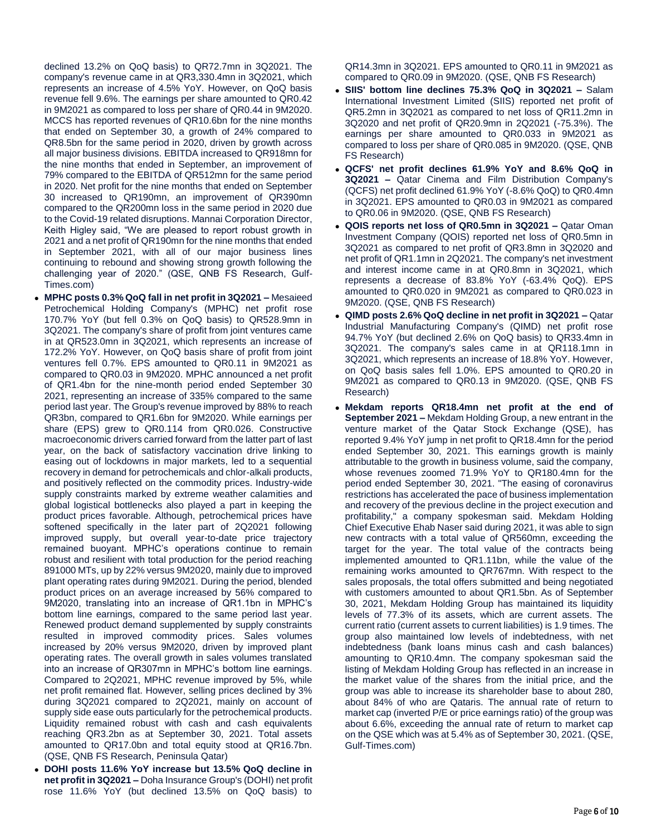declined 13.2% on QoQ basis) to QR72.7mn in 3Q2021. The company's revenue came in at QR3,330.4mn in 3Q2021, which represents an increase of 4.5% YoY. However, on QoQ basis revenue fell 9.6%. The earnings per share amounted to QR0.42 in 9M2021 as compared to loss per share of QR0.44 in 9M2020. MCCS has reported revenues of QR10.6bn for the nine months that ended on September 30, a growth of 24% compared to QR8.5bn for the same period in 2020, driven by growth across all major business divisions. EBITDA increased to QR918mn for the nine months that ended in September, an improvement of 79% compared to the EBITDA of QR512mn for the same period in 2020. Net profit for the nine months that ended on September 30 increased to QR190mn, an improvement of QR390mn compared to the QR200mn loss in the same period in 2020 due to the Covid-19 related disruptions. Mannai Corporation Director, Keith Higley said, "We are pleased to report robust growth in 2021 and a net profit of QR190mn for the nine months that ended in September 2021, with all of our major business lines continuing to rebound and showing strong growth following the challenging year of 2020." (QSE, QNB FS Research, Gulf-Times.com)

- **MPHC posts 0.3% QoQ fall in net profit in 3Q2021 –** Mesaieed Petrochemical Holding Company's (MPHC) net profit rose 170.7% YoY (but fell 0.3% on QoQ basis) to QR528.9mn in 3Q2021. The company's share of profit from joint ventures came in at QR523.0mn in 3Q2021, which represents an increase of 172.2% YoY. However, on QoQ basis share of profit from joint ventures fell 0.7%. EPS amounted to QR0.11 in 9M2021 as compared to QR0.03 in 9M2020. MPHC announced a net profit of QR1.4bn for the nine-month period ended September 30 2021, representing an increase of 335% compared to the same period last year. The Group's revenue improved by 88% to reach QR3bn, compared to QR1.6bn for 9M2020. While earnings per share (EPS) grew to QR0.114 from QR0.026. Constructive macroeconomic drivers carried forward from the latter part of last year, on the back of satisfactory vaccination drive linking to easing out of lockdowns in major markets, led to a sequential recovery in demand for petrochemicals and chlor-alkali products, and positively reflected on the commodity prices. Industry-wide supply constraints marked by extreme weather calamities and global logistical bottlenecks also played a part in keeping the product prices favorable. Although, petrochemical prices have softened specifically in the later part of 2Q2021 following improved supply, but overall year-to-date price trajectory remained buoyant. MPHC's operations continue to remain robust and resilient with total production for the period reaching 891000 MTs, up by 22% versus 9M2020, mainly due to improved plant operating rates during 9M2021. During the period, blended product prices on an average increased by 56% compared to 9M2020, translating into an increase of QR1.1bn in MPHC's bottom line earnings, compared to the same period last year. Renewed product demand supplemented by supply constraints resulted in improved commodity prices. Sales volumes increased by 20% versus 9M2020, driven by improved plant operating rates. The overall growth in sales volumes translated into an increase of QR307mn in MPHC's bottom line earnings. Compared to 2Q2021, MPHC revenue improved by 5%, while net profit remained flat. However, selling prices declined by 3% during 3Q2021 compared to 2Q2021, mainly on account of supply side ease outs particularly for the petrochemical products. Liquidity remained robust with cash and cash equivalents reaching QR3.2bn as at September 30, 2021. Total assets amounted to QR17.0bn and total equity stood at QR16.7bn. (QSE, QNB FS Research, Peninsula Qatar)
- **DOHI posts 11.6% YoY increase but 13.5% QoQ decline in net profit in 3Q2021 –** Doha Insurance Group's (DOHI) net profit rose 11.6% YoY (but declined 13.5% on QoQ basis) to

QR14.3mn in 3Q2021. EPS amounted to QR0.11 in 9M2021 as compared to QR0.09 in 9M2020. (QSE, QNB FS Research)

- **SIIS' bottom line declines 75.3% QoQ in 3Q2021 –** Salam International Investment Limited (SIIS) reported net profit of QR5.2mn in 3Q2021 as compared to net loss of QR11.2mn in 3Q2020 and net profit of QR20.9mn in 2Q2021 (-75.3%). The earnings per share amounted to QR0.033 in 9M2021 as compared to loss per share of QR0.085 in 9M2020. (QSE, QNB FS Research)
- **QCFS' net profit declines 61.9% YoY and 8.6% QoQ in 3Q2021 –** Qatar Cinema and Film Distribution Company's (QCFS) net profit declined 61.9% YoY (-8.6% QoQ) to QR0.4mn in 3Q2021. EPS amounted to QR0.03 in 9M2021 as compared to QR0.06 in 9M2020. (QSE, QNB FS Research)
- **QOIS reports net loss of QR0.5mn in 3Q2021 –** Qatar Oman Investment Company (QOIS) reported net loss of QR0.5mn in 3Q2021 as compared to net profit of QR3.8mn in 3Q2020 and net profit of QR1.1mn in 2Q2021. The company's net investment and interest income came in at QR0.8mn in 3Q2021, which represents a decrease of 83.8% YoY (-63.4% QoQ). EPS amounted to QR0.020 in 9M2021 as compared to QR0.023 in 9M2020. (QSE, QNB FS Research)
- **QIMD posts 2.6% QoQ decline in net profit in 3Q2021 –** Qatar Industrial Manufacturing Company's (QIMD) net profit rose 94.7% YoY (but declined 2.6% on QoQ basis) to QR33.4mn in 3Q2021. The company's sales came in at QR118.1mn in 3Q2021, which represents an increase of 18.8% YoY. However, on QoQ basis sales fell 1.0%. EPS amounted to QR0.20 in 9M2021 as compared to QR0.13 in 9M2020. (QSE, QNB FS Research)
- **Mekdam reports QR18.4mn net profit at the end of September 2021 –** Mekdam Holding Group, a new entrant in the venture market of the Qatar Stock Exchange (QSE), has reported 9.4% YoY jump in net profit to QR18.4mn for the period ended September 30, 2021. This earnings growth is mainly attributable to the growth in business volume, said the company, whose revenues zoomed 71.9% YoY to QR180.4mn for the period ended September 30, 2021. "The easing of coronavirus restrictions has accelerated the pace of business implementation and recovery of the previous decline in the project execution and profitability," a company spokesman said. Mekdam Holding Chief Executive Ehab Naser said during 2021, it was able to sign new contracts with a total value of QR560mn, exceeding the target for the year. The total value of the contracts being implemented amounted to QR1.11bn, while the value of the remaining works amounted to QR767mn. With respect to the sales proposals, the total offers submitted and being negotiated with customers amounted to about QR1.5bn. As of September 30, 2021, Mekdam Holding Group has maintained its liquidity levels of 77.3% of its assets, which are current assets. The current ratio (current assets to current liabilities) is 1.9 times. The group also maintained low levels of indebtedness, with net indebtedness (bank loans minus cash and cash balances) amounting to QR10.4mn. The company spokesman said the listing of Mekdam Holding Group has reflected in an increase in the market value of the shares from the initial price, and the group was able to increase its shareholder base to about 280, about 84% of who are Qataris. The annual rate of return to market cap (inverted P/E or price earnings ratio) of the group was about 6.6%, exceeding the annual rate of return to market cap on the QSE which was at 5.4% as of September 30, 2021. (QSE, Gulf-Times.com)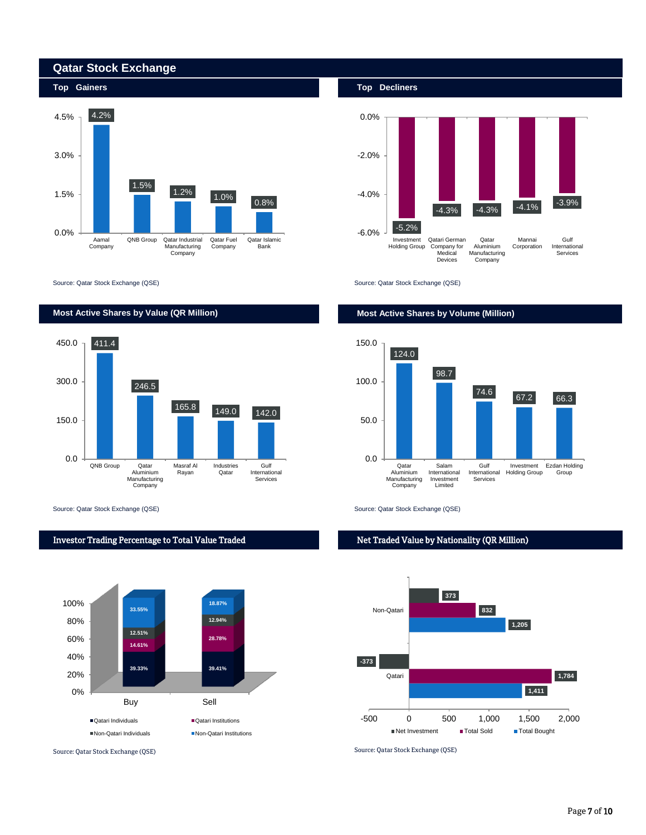



Source: Qatar Stock Exchange (QSE) Source: Qatar Stock Exchange (QSE)



Source: Qatar Stock Exchange (QSE) Source: Qatar Stock Exchange (QSE)







# Net Traded Value by Nationality (QR Million)



# **Most Active Shares by Value (QR Million) Most Active Shares by Volume (Million)**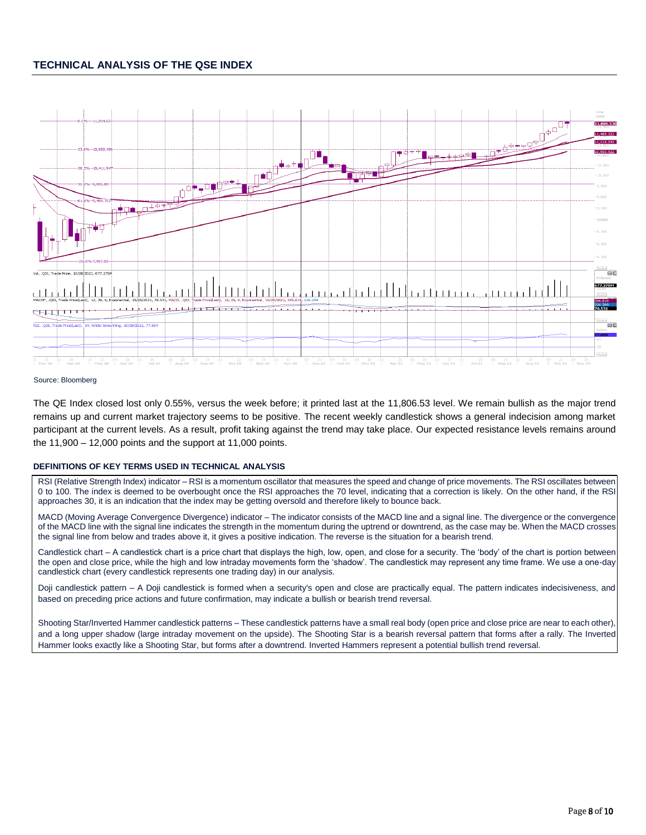# **TECHNICAL ANALYSIS OF THE QSE INDEX**



### Source: Bloomberg

The QE Index closed lost only 0.55%, versus the week before; it printed last at the 11,806.53 level. We remain bullish as the major trend remains up and current market trajectory seems to be positive. The recent weekly candlestick shows a general indecision among market participant at the current levels. As a result, profit taking against the trend may take place. Our expected resistance levels remains around the  $11,900 - 12,000$  points and the support at  $11,000$  points.

### **DEFINITIONS OF KEY TERMS USED IN TECHNICAL ANALYSIS**

RSI (Relative Strength Index) indicator – RSI is a momentum oscillator that measures the speed and change of price movements. The RSI oscillates between 0 to 100. The index is deemed to be overbought once the RSI approaches the 70 level, indicating that a correction is likely. On the other hand, if the RSI approaches 30, it is an indication that the index may be getting oversold and therefore likely to bounce back.

MACD (Moving Average Convergence Divergence) indicator – The indicator consists of the MACD line and a signal line. The divergence or the convergence of the MACD line with the signal line indicates the strength in the momentum during the uptrend or downtrend, as the case may be. When the MACD crosses the signal line from below and trades above it, it gives a positive indication. The reverse is the situation for a bearish trend.

Candlestick chart – A candlestick chart is a price chart that displays the high, low, open, and close for a security. The 'body' of the chart is portion between the open and close price, while the high and low intraday movements form the 'shadow'. The candlestick may represent any time frame. We use a one-day candlestick chart (every candlestick represents one trading day) in our analysis.

Doji candlestick pattern – A Doji candlestick is formed when a security's open and close are practically equal. The pattern indicates indecisiveness, and based on preceding price actions and future confirmation, may indicate a bullish or bearish trend reversal.

Shooting Star/Inverted Hammer candlestick patterns – These candlestick patterns have a small real body (open price and close price are near to each other), and a long upper shadow (large intraday movement on the upside). The Shooting Star is a bearish reversal pattern that forms after a rally. The Inverted Hammer looks exactly like a Shooting Star, but forms after a downtrend. Inverted Hammers represent a potential bullish trend reversal.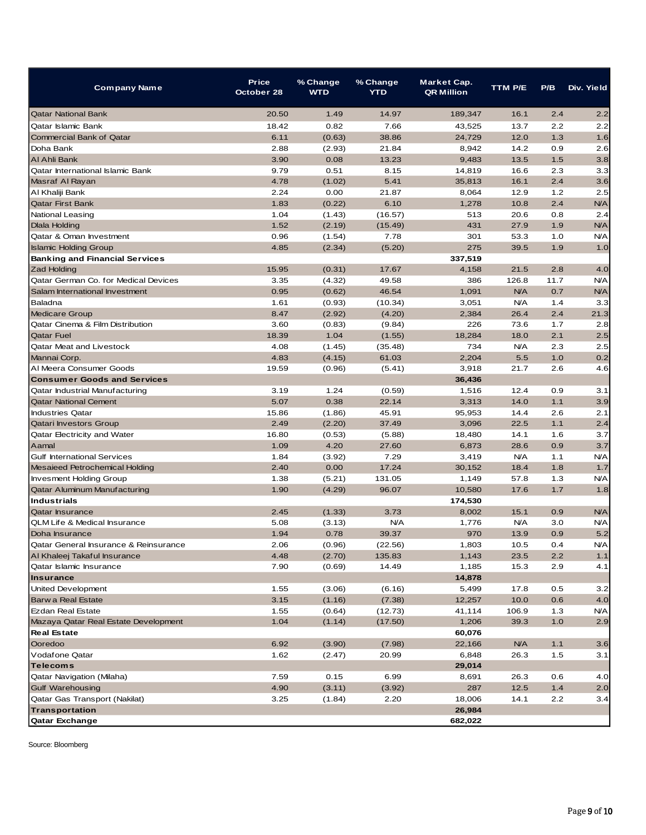| Company Name                          | <b>Price</b><br>October 28 | % Change<br><b>WTD</b> | % Change<br><b>YTD</b> | Market Cap.<br><b>QR Million</b> | <b>TTM P/E</b> | P/B   | Div. Yield                |
|---------------------------------------|----------------------------|------------------------|------------------------|----------------------------------|----------------|-------|---------------------------|
| <b>Qatar National Bank</b>            | 20.50                      | 1.49                   | 14.97                  | 189,347                          | 16.1           | 2.4   | 2.2                       |
| Qatar Islamic Bank                    | 18.42                      | 0.82                   | 7.66                   | 43,525                           | 13.7           | 2.2   | 2.2                       |
| <b>Commercial Bank of Qatar</b>       | 6.11                       | (0.63)                 | 38.86                  | 24,729                           | 12.0           | 1.3   | 1.6                       |
| Doha Bank                             | 2.88                       | (2.93)                 | 21.84                  | 8,942                            | 14.2           | 0.9   | 2.6                       |
| Al Ahli Bank                          | 3.90                       | 0.08                   | 13.23                  | 9,483                            | 13.5           | 1.5   | 3.8                       |
| Qatar International Islamic Bank      | 9.79                       | 0.51                   | 8.15                   | 14,819                           | 16.6           | 2.3   | 3.3                       |
| Masraf Al Rayan                       | 4.78                       | (1.02)                 | 5.41                   | 35,813                           | 16.1           | 2.4   | 3.6                       |
| Al Khaliji Bank                       | 2.24                       | 0.00                   | 21.87                  | 8,064                            | 12.9           | $1.2$ | 2.5                       |
| <b>Qatar First Bank</b>               | 1.83                       | (0.22)                 | 6.10                   | 1,278                            | 10.8           | 2.4   | <b>N/A</b>                |
| <b>National Leasing</b>               | 1.04                       | (1.43)                 | (16.57)                | 513                              | 20.6           | 0.8   | 2.4                       |
| Dlala Holding                         | 1.52                       | (2.19)                 | (15.49)                | 431                              | 27.9           | 1.9   | <b>N/A</b>                |
| Qatar & Oman Investment               | 0.96                       | (1.54)                 | 7.78                   | 301                              | 53.3           | 1.0   | <b>N/A</b>                |
| <b>Islamic Holding Group</b>          | 4.85                       | (2.34)                 | (5.20)                 | 275                              | 39.5           | 1.9   | 1.0                       |
| <b>Banking and Financial Services</b> |                            |                        |                        | 337,519                          |                |       |                           |
| <b>Zad Holding</b>                    | 15.95                      | (0.31)                 | 17.67                  | 4,158                            | 21.5           | 2.8   | 4.0                       |
| Qatar German Co. for Medical Devices  | 3.35                       | (4.32)                 | 49.58                  | 386                              | 126.8          | 11.7  | <b>N/A</b>                |
| Salam International Investment        | 0.95                       | (0.62)                 | 46.54                  | 1,091                            | <b>N/A</b>     | 0.7   | <b>N/A</b>                |
| Baladna                               | 1.61                       | (0.93)                 | (10.34)                | 3,051                            | <b>N/A</b>     | 1.4   | 3.3                       |
| <b>Medicare Group</b>                 | 8.47                       | (2.92)                 | (4.20)                 | 2,384                            | 26.4           | 2.4   | 21.3                      |
| Qatar Cinema & Film Distribution      | 3.60                       | (0.83)                 | (9.84)                 | 226                              | 73.6           | 1.7   | 2.8                       |
| <b>Qatar Fuel</b>                     | 18.39                      | 1.04                   | (1.55)                 | 18,284                           | 18.0           | 2.1   | 2.5                       |
| <b>Qatar Meat and Livestock</b>       | 4.08                       | (1.45)                 | (35.48)                | 734                              | <b>N/A</b>     | 2.3   | 2.5                       |
| Mannai Corp.                          | 4.83                       | (4.15)                 | 61.03                  | 2,204                            | 5.5            | 1.0   | 0.2                       |
| Al Meera Consumer Goods               | 19.59                      | (0.96)                 | (5.41)                 | 3,918                            | 21.7           | 2.6   | 4.6                       |
| <b>Consumer Goods and Services</b>    |                            |                        |                        | 36,436                           |                |       |                           |
| Qatar Industrial Manufacturing        | 3.19                       | 1.24                   | (0.59)                 | 1,516                            | 12.4           | 0.9   | 3.1                       |
| <b>Qatar National Cement</b>          | 5.07                       | 0.38                   | 22.14                  | 3,313                            | 14.0           | 1.1   | 3.9                       |
| <b>Industries Qatar</b>               | 15.86                      | (1.86)                 | 45.91                  | 95,953                           | 14.4           | 2.6   | 2.1                       |
| Qatari Investors Group                | 2.49                       | (2.20)                 | 37.49                  | 3,096                            | 22.5           | 1.1   | 2.4                       |
| Qatar Electricity and Water           | 16.80                      | (0.53)                 | (5.88)                 | 18,480                           | 14.1           | 1.6   | 3.7                       |
| Aamal                                 | 1.09                       | 4.20                   | 27.60                  | 6,873                            | 28.6           | 0.9   | 3.7                       |
| <b>Gulf International Services</b>    | 1.84                       | (3.92)                 | 7.29                   | 3,419                            | <b>N/A</b>     | 1.1   | <b>N/A</b>                |
| Mesaieed Petrochemical Holding        | 2.40                       | 0.00                   | 17.24                  | 30,152                           | 18.4           | 1.8   | 1.7                       |
| <b>Invesment Holding Group</b>        | 1.38                       | (5.21)                 | 131.05                 | 1,149                            | 57.8           | 1.3   | <b>N/A</b>                |
| Qatar Aluminum Manufacturing          | 1.90                       | (4.29)                 | 96.07                  | 10,580                           | 17.6           | 1.7   | 1.8                       |
| <b>Industrials</b>                    |                            |                        |                        | 174,530                          |                |       |                           |
| <b>Qatar Insurance</b>                | 2.45                       | (1.33)                 | 3.73                   | 8,002                            | 15.1           | 0.9   | <b>N/A</b>                |
| QLM Life & Medical Insurance          | 5.08                       | (3.13)                 | <b>N/A</b>             | 1,776                            | <b>N/A</b>     | 3.0   | <b>N/A</b>                |
| Doha Insurance                        | 1.94                       | 0.78                   | 39.37                  | 970                              | 13.9           | 0.9   | 5.2                       |
| Qatar General Insurance & Reinsurance | 2.06                       | (0.96)                 | (22.56)                | 1,803                            | 10.5           | 0.4   | $\mathsf{N\!V}\mathsf{A}$ |
| Al Khaleej Takaful Insurance          | 4.48                       | (2.70)                 | 135.83                 | 1,143                            | 23.5           | 2.2   | 1.1                       |
| Qatar Islamic Insurance               | 7.90                       | (0.69)                 | 14.49                  | 1,185                            | 15.3           | 2.9   | 4.1                       |
| <b>Insurance</b>                      |                            |                        |                        | 14,878                           |                |       |                           |
| United Development                    | 1.55                       | (3.06)                 | (6.16)                 | 5,499                            | 17.8           | 0.5   | 3.2                       |
| Barw a Real Estate                    | 3.15                       | (1.16)                 | (7.38)                 | 12,257                           | 10.0           | 0.6   | 4.0                       |
| Ezdan Real Estate                     | 1.55                       | (0.64)                 | (12.73)                | 41,114                           | 106.9          | 1.3   | <b>N/A</b>                |
| Mazaya Qatar Real Estate Development  | 1.04                       | (1.14)                 | (17.50)                | 1,206                            | 39.3           | 1.0   | 2.9                       |
| <b>Real Estate</b>                    |                            |                        |                        | 60,076                           |                |       |                           |
| Ooredoo                               | 6.92                       | (3.90)                 | (7.98)                 | 22,166                           | <b>N/A</b>     | 1.1   | 3.6                       |
| Vodafone Qatar                        | 1.62                       | (2.47)                 | 20.99                  | 6,848                            | 26.3           | 1.5   | 3.1                       |
| <b>Telecoms</b>                       |                            |                        |                        | 29,014                           |                |       |                           |
| Qatar Navigation (Milaha)             | 7.59                       | 0.15                   | 6.99                   | 8,691                            | 26.3           | 0.6   | 4.0                       |
| <b>Gulf Warehousing</b>               | 4.90                       | (3.11)                 | (3.92)                 | 287                              | 12.5           | 1.4   | 2.0                       |
| Qatar Gas Transport (Nakilat)         | 3.25                       | (1.84)                 | 2.20                   | 18,006                           | 14.1           | 2.2   | 3.4                       |
| <b>Transportation</b>                 |                            |                        |                        | 26,984                           |                |       |                           |
| Qatar Exchange                        |                            |                        |                        | 682,022                          |                |       |                           |
|                                       |                            |                        |                        |                                  |                |       |                           |

Source: Bloomberg